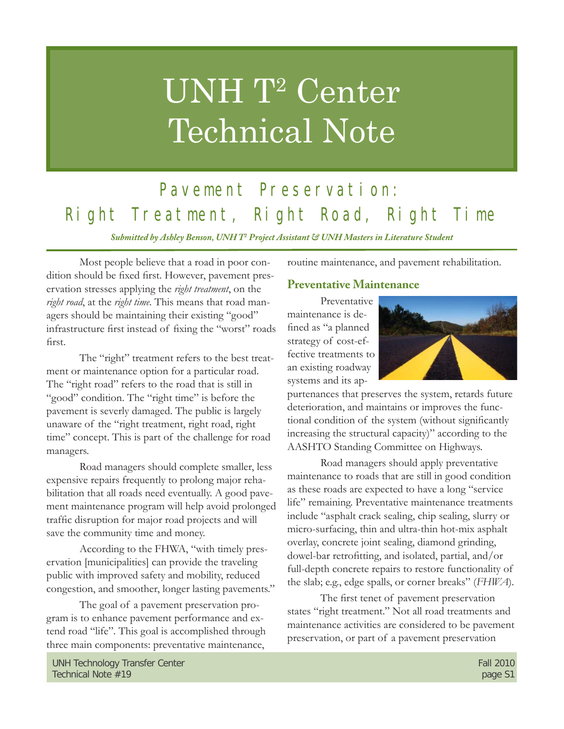# UNH T<sup>2</sup> Center Technical Note

# Pavement Preservation: Right Treatment, Right Road, Right Time

*Submitted by Ashley Benson, UNH T2 Project Assistant & UNH Masters in Literature Student*

 Most people believe that a road in poor condition should be fixed first. However, pavement preservation stresses applying the *right treatment*, on the *right road*, at the *right time*. This means that road managers should be maintaining their existing "good" infrastructure first instead of fixing the "worst" roads first.

The "right" treatment refers to the best treatment or maintenance option for a particular road. The "right road" refers to the road that is still in "good" condition. The "right time" is before the pavement is severly damaged. The public is largely unaware of the "right treatment, right road, right time" concept. This is part of the challenge for road managers.

 Road managers should complete smaller, less expensive repairs frequently to prolong major rehabilitation that all roads need eventually. A good pavement maintenance program will help avoid prolonged traffic disruption for major road projects and will save the community time and money.

 According to the FHWA, "with timely preservation [municipalities] can provide the traveling public with improved safety and mobility, reduced congestion, and smoother, longer lasting pavements."

 The goal of a pavement preservation program is to enhance pavement performance and extend road "life". This goal is accomplished through three main components: preventative maintenance,

routine maintenance, and pavement rehabilitation.

### **Preventative Maintenance**

 Preventative maintenance is defined as "a planned strategy of cost-effective treatments to an existing roadway systems and its ap-



purtenances that preserves the system, retards future deterioration, and maintains or improves the functional condition of the system (without significantly increasing the structural capacity)" according to the AASHTO Standing Committee on Highways.

 Road managers should apply preventative maintenance to roads that are still in good condition as these roads are expected to have a long "service life" remaining. Preventative maintenance treatments include "asphalt crack sealing, chip sealing, slurry or micro-surfacing, thin and ultra-thin hot-mix asphalt overlay, concrete joint sealing, diamond grinding, dowel-bar retrofitting, and isolated, partial, and/or full-depth concrete repairs to restore functionality of the slab; e.g., edge spalls, or corner breaks" (*FHWA*).

The first tenet of pavement preservation states "right treatment." Not all road treatments and maintenance activities are considered to be pavement preservation, or part of a pavement preservation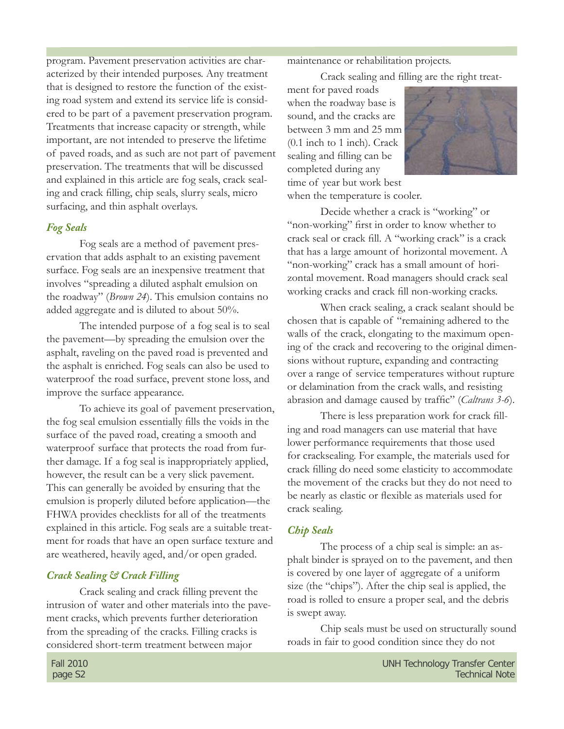program. Pavement preservation activities are characterized by their intended purposes. Any treatment that is designed to restore the function of the existing road system and extend its service life is considered to be part of a pavement preservation program. Treatments that increase capacity or strength, while important, are not intended to preserve the lifetime of paved roads, and as such are not part of pavement preservation. The treatments that will be discussed and explained in this article are fog seals, crack sealing and crack filling, chip seals, slurry seals, micro surfacing, and thin asphalt overlays.

#### *Fog Seals*

Fog seals are a method of pavement preservation that adds asphalt to an existing pavement surface. Fog seals are an inexpensive treatment that involves "spreading a diluted asphalt emulsion on the roadway" (*Brown 24*). This emulsion contains no added aggregate and is diluted to about 50%.

 The intended purpose of a fog seal is to seal the pavement—by spreading the emulsion over the asphalt, raveling on the paved road is prevented and the asphalt is enriched. Fog seals can also be used to waterproof the road surface, prevent stone loss, and improve the surface appearance.

 To achieve its goal of pavement preservation, the fog seal emulsion essentially fills the voids in the surface of the paved road, creating a smooth and waterproof surface that protects the road from further damage. If a fog seal is inappropriately applied, however, the result can be a very slick pavement. This can generally be avoided by ensuring that the emulsion is properly diluted before application—the FHWA provides checklists for all of the treatments explained in this article. Fog seals are a suitable treatment for roads that have an open surface texture and are weathered, heavily aged, and/or open graded.

#### *Crack Sealing & Crack Filling*

Crack sealing and crack filling prevent the intrusion of water and other materials into the pavement cracks, which prevents further deterioration from the spreading of the cracks. Filling cracks is considered short-term treatment between major

maintenance or rehabilitation projects.

Crack sealing and filling are the right treat-

ment for paved roads when the roadway base is sound, and the cracks are between 3 mm and 25 mm (0.1 inch to 1 inch). Crack sealing and filling can be completed during any time of year but work best



when the temperature is cooler.

 Decide whether a crack is "working" or "non-working" first in order to know whether to crack seal or crack fill. A "working crack" is a crack that has a large amount of horizontal movement. A "non-working" crack has a small amount of horizontal movement. Road managers should crack seal working cracks and crack fill non-working cracks.

 When crack sealing, a crack sealant should be chosen that is capable of "remaining adhered to the walls of the crack, elongating to the maximum opening of the crack and recovering to the original dimensions without rupture, expanding and contracting over a range of service temperatures without rupture or delamination from the crack walls, and resisting abrasion and damage caused by traffic" (*Caltrans 3-6*).

There is less preparation work for crack filling and road managers can use material that have lower performance requirements that those used for cracksealing. For example, the materials used for crack filling do need some elasticity to accommodate the movement of the cracks but they do not need to be nearly as elastic or flexible as materials used for crack sealing.

#### *Chip Seals*

The process of a chip seal is simple: an asphalt binder is sprayed on to the pavement, and then is covered by one layer of aggregate of a uniform size (the "chips"). After the chip seal is applied, the road is rolled to ensure a proper seal, and the debris is swept away.

 Chip seals must be used on structurally sound roads in fair to good condition since they do not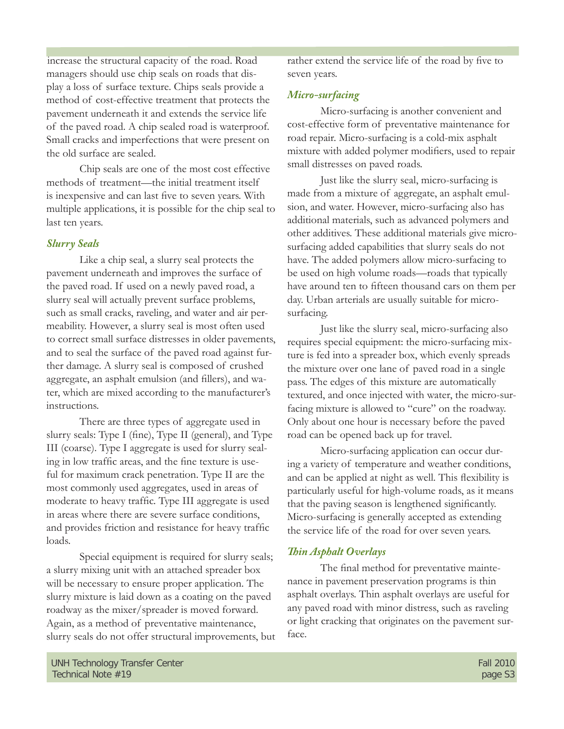increase the structural capacity of the road. Road managers should use chip seals on roads that display a loss of surface texture. Chips seals provide a method of cost-effective treatment that protects the pavement underneath it and extends the service life of the paved road. A chip sealed road is waterproof. Small cracks and imperfections that were present on the old surface are sealed.

 Chip seals are one of the most cost effective methods of treatment—the initial treatment itself is inexpensive and can last five to seven years. With multiple applications, it is possible for the chip seal to last ten years.

#### *Slurry Seals*

Like a chip seal, a slurry seal protects the pavement underneath and improves the surface of the paved road. If used on a newly paved road, a slurry seal will actually prevent surface problems, such as small cracks, raveling, and water and air permeability. However, a slurry seal is most often used to correct small surface distresses in older pavements, and to seal the surface of the paved road against further damage. A slurry seal is composed of crushed aggregate, an asphalt emulsion (and fillers), and water, which are mixed according to the manufacturer's instructions.

 There are three types of aggregate used in slurry seals: Type I (fine), Type II (general), and Type III (coarse). Type I aggregate is used for slurry sealing in low traffic areas, and the fine texture is useful for maximum crack penetration. Type II are the most commonly used aggregates, used in areas of moderate to heavy traffic. Type III aggregate is used in areas where there are severe surface conditions, and provides friction and resistance for heavy traffic loads.

 Special equipment is required for slurry seals; a slurry mixing unit with an attached spreader box will be necessary to ensure proper application. The slurry mixture is laid down as a coating on the paved roadway as the mixer/spreader is moved forward. Again, as a method of preventative maintenance, slurry seals do not offer structural improvements, but rather extend the service life of the road by five to seven years.

#### *Micro-surfacing*

 Micro-surfacing is another convenient and cost-effective form of preventative maintenance for road repair. Micro-surfacing is a cold-mix asphalt mixture with added polymer modifiers, used to repair small distresses on paved roads.

 Just like the slurry seal, micro-surfacing is made from a mixture of aggregate, an asphalt emulsion, and water. However, micro-surfacing also has additional materials, such as advanced polymers and other additives. These additional materials give microsurfacing added capabilities that slurry seals do not have. The added polymers allow micro-surfacing to be used on high volume roads—roads that typically have around ten to fifteen thousand cars on them per day. Urban arterials are usually suitable for microsurfacing.

 Just like the slurry seal, micro-surfacing also requires special equipment: the micro-surfacing mixture is fed into a spreader box, which evenly spreads the mixture over one lane of paved road in a single pass. The edges of this mixture are automatically textured, and once injected with water, the micro-surfacing mixture is allowed to "cure" on the roadway. Only about one hour is necessary before the paved road can be opened back up for travel.

 Micro-surfacing application can occur during a variety of temperature and weather conditions, and can be applied at night as well. This flexibility is particularly useful for high-volume roads, as it means that the paving season is lengthened significantly. Micro-surfacing is generally accepted as extending the service life of the road for over seven years.

#### **Thin Asphalt Overlays**

The final method for preventative maintenance in pavement preservation programs is thin asphalt overlays. Thin asphalt overlays are useful for any paved road with minor distress, such as raveling or light cracking that originates on the pavement surface.